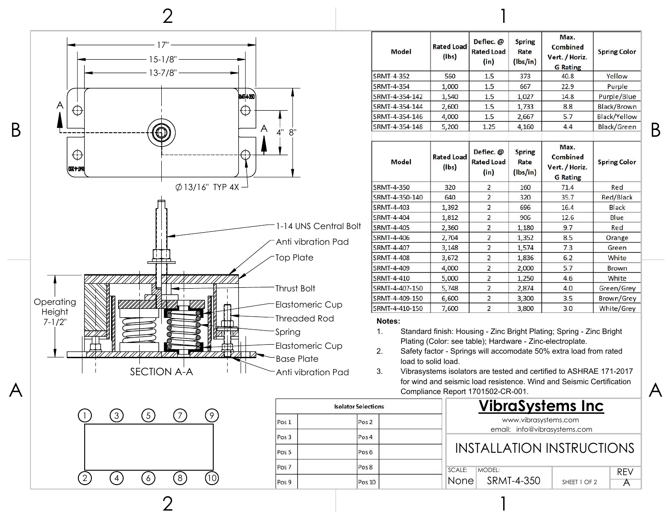



| <b>Isolator Selections</b> |                  |  |  |  |
|----------------------------|------------------|--|--|--|
| Pos <sub>1</sub>           | Pos <sub>2</sub> |  |  |  |
| Pos <sub>3</sub>           | Pos 4            |  |  |  |
| Pos <sub>5</sub>           | Pos <sub>6</sub> |  |  |  |
| Pos <sub>7</sub>           | Pos 8            |  |  |  |
| Pos 9                      | Pos 10           |  |  |  |

| Model          | <b>Rated Load</b><br>(lbs)       | Deflec. @<br><b>Rated Load</b><br>(in) | <b>Spring</b><br>Rate<br>(lbs/in) | Max.<br>Combined<br>Vert. / Horiz.<br><b>G</b> Rating | <b>Spring Color</b> |
|----------------|----------------------------------|----------------------------------------|-----------------------------------|-------------------------------------------------------|---------------------|
| SRMT-4-352     | 560                              | 1.5                                    | 373                               | 40.8                                                  | Yellow              |
| SRMT-4-354     | 1,000                            | 1.5                                    | 667                               | 22.9                                                  | Purple              |
| SRMT-4-354-142 | 1,540                            | 1.5                                    | 1,027                             | 14.8                                                  | Purple/Blue         |
| SRMT-4-354-144 | 2,600                            | 1.5                                    | 1,733                             | 8.8                                                   | Black/Brown         |
| SRMT-4-354-146 | 4,000                            | 1.5                                    | 2,667                             | 5.7                                                   | Black/Yellow        |
| SRMT-4-354-148 | 5,200                            | 1.25                                   | 4,160                             | 4.4                                                   | Black/Green         |
| Model          | <b>Rated Load</b><br>$($ lbs $)$ | Deflec. @<br><b>Rated Load</b><br>(in) | <b>Spring</b><br>Rate<br>(lbs/in) | Max.<br>Combined<br>Vert. / Horiz.<br><b>G</b> Rating | <b>Spring Color</b> |
| SRMT-4-350     | 320                              | 2                                      | 160                               | 71.4                                                  | Red                 |
| SRMT-4-350-140 | 640                              | $\overline{2}$                         | 320                               | 35.7                                                  | Red/Black           |
| SRMT-4-403     | 1,392                            | $\overline{2}$                         | 696                               | 16.4                                                  | Black               |
| SRMT-4-404     | 1,812                            | $\overline{2}$                         | 906                               | 12.6                                                  | Blue                |
| SRMT-4-405     | 2,360                            | $\overline{2}$                         | 1,180                             | 9.7                                                   | Red                 |
| SRMT-4-406     | 2,704                            | $\overline{2}$                         | 1,352                             | 8.5                                                   | Orange              |
| SRMT-4-407     | 3,148                            | $\overline{2}$                         | 1,574                             | 7.3                                                   | Green               |
| SRMT-4-408     | 3,672                            | $\overline{2}$                         | 1,836                             | 6.2                                                   | White               |
| SRMT-4-409     | 4,000                            | 2                                      | 2,000                             | 5.7                                                   | Brown               |
| SRMT-4-410     | 5,000                            | $\overline{c}$                         | 1,250                             | 4.6                                                   | White               |
| SRMT-4-407-150 | 5,748                            | $\overline{2}$                         | 2,874                             | 4.0                                                   | Green/Grey          |
| SRMT-4-409-150 | 6,600                            | $\overline{2}$                         | 3,300                             | 3.5                                                   | Brown/Grey          |
| SRMT-4-410-150 | 7,600                            | $\overline{2}$                         | 3,800                             | 3.0                                                   | White/Grey          |

- 1. Standard finish: Housing Zinc Bright Plating; Spring Zinc Bright Plating (Color: see table); Hardware - Zinc-electroplate.
- 2. Safety factor Springs will accomodate 50% extra load from rated load to solid load.
- 3. Vibrasystems isolators are tested and certified to ASHRAE 171-2017 for wind and seismic load resistence. Wind and Seismic Certification Compliance Report 1701502-CR-001.

1

## **VibraSystems Inc**

www.vibrasystems.com email: info@vibrasystems.com

## INSTALLATION INSTRUCTIONS

| SCALE: | IMODFI           |              |  |
|--------|------------------|--------------|--|
|        | Nonel SRMT-4-350 | SHEET 1 OF 2 |  |